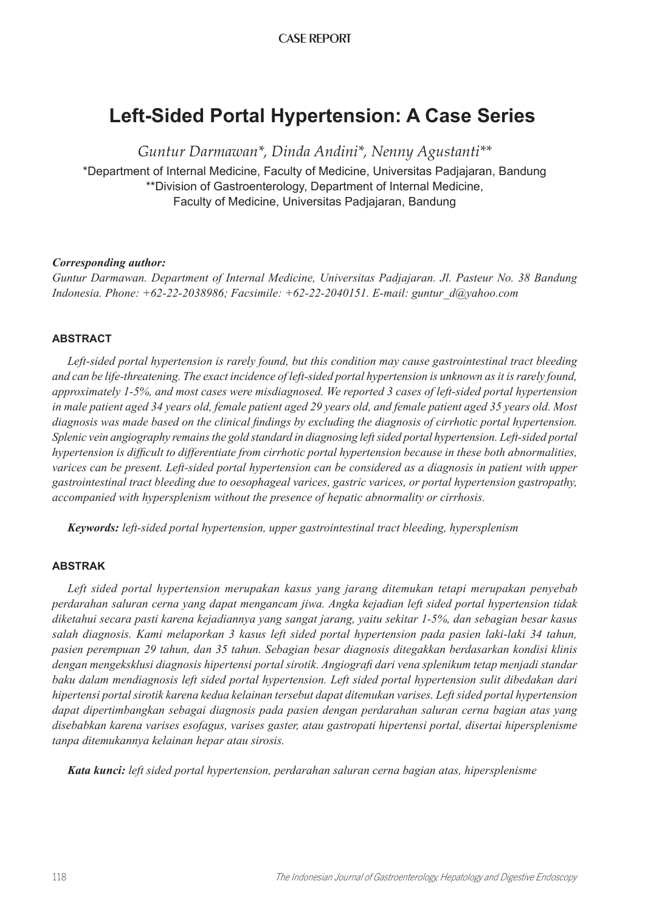## CASE REPORT

# **Left-Sided Portal Hypertension: A Case Series**

*Guntur Darmawan\*, Dinda Andini\*, Nenny Agustanti\*\** \*Department of Internal Medicine, Faculty of Medicine, Universitas Padjajaran, Bandung \*\*Division of Gastroenterology, Department of Internal Medicine, Faculty of Medicine, Universitas Padjajaran, Bandung

## *Corresponding author:*

*Guntur Darmawan. Department of Internal Medicine, Universitas Padjajaran. Jl. Pasteur No. 38 Bandung Indonesia. Phone: +62-22-2038986; Facsimile: +62-22-2040151. E-mail: guntur\_d@yahoo.com*

## **ABSTRACT**

*Left-sided portal hypertension is rarely found, but this condition may cause gastrointestinal tract bleeding and can be life-threatening. The exact incidence of left-sided portal hypertension is unknown as it is rarely found, approximately 1-5%, and most cases were misdiagnosed. We reported 3 cases of left-sided portal hypertension in male patient aged 34 years old, female patient aged 29 years old, and female patient aged 35 years old. Most diagnosis was made based on the clinical findings by excluding the diagnosis of cirrhotic portal hypertension. Splenic vein angiography remains the gold standard in diagnosing left sided portal hypertension. Left-sided portal hypertension is difficult to differentiate from cirrhotic portal hypertension because in these both abnormalities, varices can be present. Left-sided portal hypertension can be considered as a diagnosis in patient with upper gastrointestinal tract bleeding due to oesophageal varices, gastric varices, or portal hypertension gastropathy, accompanied with hypersplenism without the presence of hepatic abnormality or cirrhosis.*

*Keywords: left-sided portal hypertension, upper gastrointestinal tract bleeding, hypersplenism*

## **ABSTRAK**

*Left sided portal hypertension merupakan kasus yang jarang ditemukan tetapi merupakan penyebab perdarahan saluran cerna yang dapat mengancam jiwa. Angka kejadian left sided portal hypertension tidak diketahui secara pasti karena kejadiannya yang sangat jarang, yaitu sekitar 1-5%, dan sebagian besar kasus salah diagnosis. Kami melaporkan 3 kasus left sided portal hypertension pada pasien laki-laki 34 tahun, pasien perempuan 29 tahun, dan 35 tahun. Sebagian besar diagnosis ditegakkan berdasarkan kondisi klinis dengan mengeksklusi diagnosis hipertensi portal sirotik. Angiografi dari vena splenikum tetap menjadi standar baku dalam mendiagnosis left sided portal hypertension. Left sided portal hypertension sulit dibedakan dari hipertensi portal sirotik karena kedua kelainan tersebut dapat ditemukan varises. Left sided portal hypertension dapat dipertimbangkan sebagai diagnosis pada pasien dengan perdarahan saluran cerna bagian atas yang disebabkan karena varises esofagus, varises gaster, atau gastropati hipertensi portal, disertai hipersplenisme tanpa ditemukannya kelainan hepar atau sirosis.* 

*Kata kunci: left sided portal hypertension, perdarahan saluran cerna bagian atas, hipersplenisme*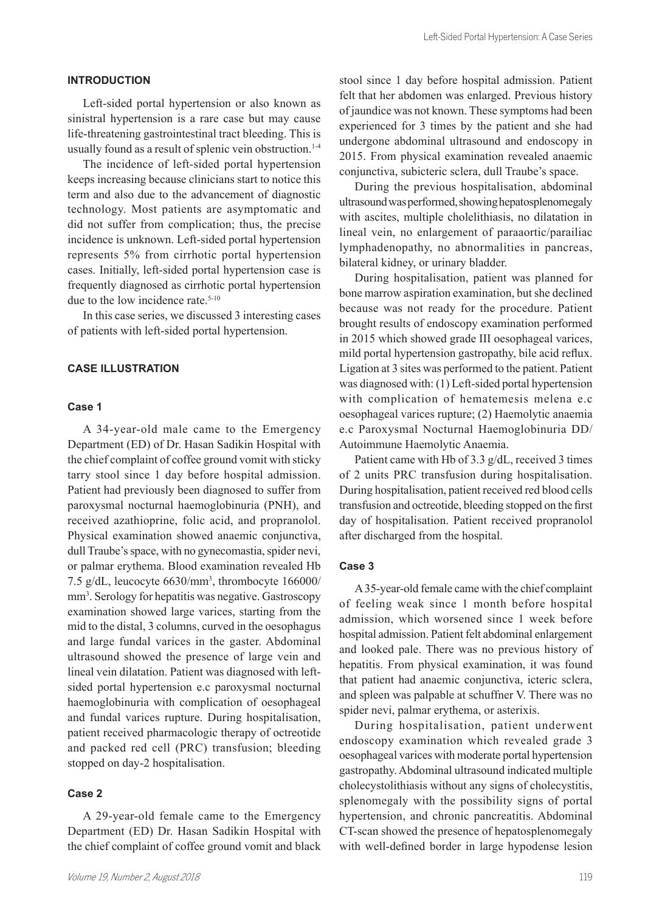### **INTRODUCTION**

Left-sided portal hypertension or also known as sinistral hypertension is a rare case but may cause life-threatening gastrointestinal tract bleeding. This is usually found as a result of splenic vein obstruction.<sup>1-4</sup>

The incidence of left-sided portal hypertension keeps increasing because clinicians start to notice this term and also due to the advancement of diagnostic technology. Most patients are asymptomatic and did not suffer from complication; thus, the precise incidence is unknown. Left-sided portal hypertension represents 5% from cirrhotic portal hypertension cases. Initially, left-sided portal hypertension case is frequently diagnosed as cirrhotic portal hypertension due to the low incidence rate.<sup>5-10</sup>

In this case series, we discussed 3 interesting cases of patients with left-sided portal hypertension.

#### **CASE ILLUSTRATION**

#### **Case 1**

A 34-year-old male came to the Emergency Department (ED) of Dr. Hasan Sadikin Hospital with the chief complaint of coffee ground vomit with sticky tarry stool since 1 day before hospital admission. Patient had previously been diagnosed to suffer from paroxysmal nocturnal haemoglobinuria (PNH), and received azathioprine, folic acid, and propranolol. Physical examination showed anaemic conjunctiva, dull Traube's space, with no gynecomastia, spider nevi, or palmar erythema. Blood examination revealed Hb 7.5 g/dL, leucocyte 6630/mm<sup>3</sup> , thrombocyte 166000/ mm<sup>3</sup>. Serology for hepatitis was negative. Gastroscopy examination showed large varices, starting from the mid to the distal, 3 columns, curved in the oesophagus and large fundal varices in the gaster. Abdominal ultrasound showed the presence of large vein and lineal vein dilatation. Patient was diagnosed with leftsided portal hypertension e.c paroxysmal nocturnal haemoglobinuria with complication of oesophageal and fundal varices rupture. During hospitalisation, patient received pharmacologic therapy of octreotide and packed red cell (PRC) transfusion; bleeding stopped on day-2 hospitalisation.

#### **Case 2**

A 29-year-old female came to the Emergency Department (ED) Dr. Hasan Sadikin Hospital with the chief complaint of coffee ground vomit and black stool since 1 day before hospital admission. Patient felt that her abdomen was enlarged. Previous history of jaundice was not known. These symptoms had been experienced for 3 times by the patient and she had undergone abdominal ultrasound and endoscopy in 2015. From physical examination revealed anaemic conjunctiva, subicteric sclera, dull Traube's space.

During the previous hospitalisation, abdominal ultrasound was performed, showing hepatosplenomegaly with ascites, multiple cholelithiasis, no dilatation in lineal vein, no enlargement of paraaortic/parailiac lymphadenopathy, no abnormalities in pancreas, bilateral kidney, or urinary bladder.

During hospitalisation, patient was planned for bone marrow aspiration examination, but she declined because was not ready for the procedure. Patient brought results of endoscopy examination performed in 2015 which showed grade III oesophageal varices, mild portal hypertension gastropathy, bile acid reflux. Ligation at 3 sites was performed to the patient. Patient was diagnosed with: (1) Left-sided portal hypertension with complication of hematemesis melena e.c oesophageal varices rupture; (2) Haemolytic anaemia e.c Paroxysmal Nocturnal Haemoglobinuria DD/ Autoimmune Haemolytic Anaemia.

Patient came with Hb of 3.3 g/dL, received 3 times of 2 units PRC transfusion during hospitalisation. During hospitalisation, patient received red blood cells transfusion and octreotide, bleeding stopped on the first day of hospitalisation. Patient received propranolol after discharged from the hospital.

#### **Case 3**

A 35-year-old female came with the chief complaint of feeling weak since 1 month before hospital admission, which worsened since 1 week before hospital admission. Patient felt abdominal enlargement and looked pale. There was no previous history of hepatitis. From physical examination, it was found that patient had anaemic conjunctiva, icteric sclera, and spleen was palpable at schuffner V. There was no spider nevi, palmar erythema, or asterixis.

During hospitalisation, patient underwent endoscopy examination which revealed grade 3 oesophageal varices with moderate portal hypertension gastropathy. Abdominal ultrasound indicated multiple cholecystolithiasis without any signs of cholecystitis, splenomegaly with the possibility signs of portal hypertension, and chronic pancreatitis. Abdominal CT-scan showed the presence of hepatosplenomegaly with well-defined border in large hypodense lesion